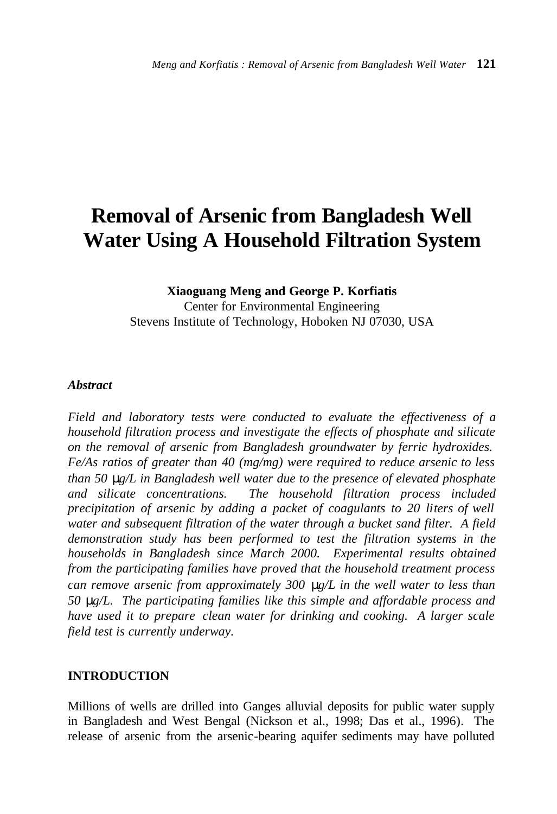# **Removal of Arsenic from Bangladesh Well Water Using A Household Filtration System**

### **Xiaoguang Meng and George P. Korfiatis** Center for Environmental Engineering Stevens Institute of Technology, Hoboken NJ 07030, USA

#### *Abstract*

*Field and laboratory tests were conducted to evaluate the effectiveness of a household filtration process and investigate the effects of phosphate and silicate on the removal of arsenic from Bangladesh groundwater by ferric hydroxides. Fe/As ratios of greater than 40 (mg/mg) were required to reduce arsenic to less than 50 mg/L in Bangladesh well water due to the presence of elevated phosphate and silicate concentrations. The household filtration process included precipitation of arsenic by adding a packet of coagulants to 20 liters of well water and subsequent filtration of the water through a bucket sand filter. A field demonstration study has been performed to test the filtration systems in the households in Bangladesh since March 2000. Experimental results obtained from the participating families have proved that the household treatment process can remove arsenic from approximately 300 mg/L in the well water to less than 50 mg/L. The participating families like this simple and affordable process and have used it to prepare clean water for drinking and cooking. A larger scale field test is currently underway.*

#### **INTRODUCTION**

Millions of wells are drilled into Ganges alluvial deposits for public water supply in Bangladesh and West Bengal (Nickson et al., 1998; Das et al., 1996). The release of arsenic from the arsenic-bearing aquifer sediments may have polluted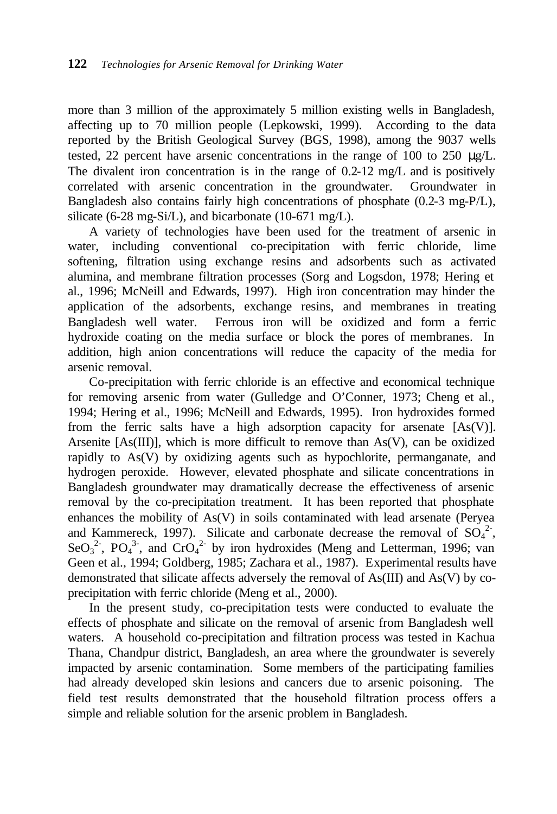more than 3 million of the approximately 5 million existing wells in Bangladesh, affecting up to 70 million people (Lepkowski, 1999). According to the data reported by the British Geological Survey (BGS, 1998), among the 9037 wells tested, 22 percent have arsenic concentrations in the range of 100 to 250 μg/L. The divalent iron concentration is in the range of 0.2-12 mg/L and is positively correlated with arsenic concentration in the groundwater. Groundwater in Bangladesh also contains fairly high concentrations of phosphate (0.2-3 mg-P/L), silicate (6-28 mg-Si/L), and bicarbonate (10-671 mg/L).

A variety of technologies have been used for the treatment of arsenic in water, including conventional co-precipitation with ferric chloride, lime softening, filtration using exchange resins and adsorbents such as activated alumina, and membrane filtration processes (Sorg and Logsdon, 1978; Hering et al., 1996; McNeill and Edwards, 1997). High iron concentration may hinder the application of the adsorbents, exchange resins, and membranes in treating Bangladesh well water. Ferrous iron will be oxidized and form a ferric hydroxide coating on the media surface or block the pores of membranes. In addition, high anion concentrations will reduce the capacity of the media for arsenic removal.

Co-precipitation with ferric chloride is an effective and economical technique for removing arsenic from water (Gulledge and O'Conner, 1973; Cheng et al., 1994; Hering et al., 1996; McNeill and Edwards, 1995). Iron hydroxides formed from the ferric salts have a high adsorption capacity for arsenate [As(V)]. Arsenite  $[As(III)]$ , which is more difficult to remove than  $As(V)$ , can be oxidized rapidly to As(V) by oxidizing agents such as hypochlorite, permanganate, and hydrogen peroxide. However, elevated phosphate and silicate concentrations in Bangladesh groundwater may dramatically decrease the effectiveness of arsenic removal by the co-precipitation treatment. It has been reported that phosphate enhances the mobility of As(V) in soils contaminated with lead arsenate (Peryea and Kammereck, 1997). Silicate and carbonate decrease the removal of  $SO_4^2$ , SeO<sub>3</sub><sup>2</sup>, PO<sub>4</sub><sup>3</sup>, and CrO<sub>4</sub><sup>2</sup> by iron hydroxides (Meng and Letterman, 1996; van Geen et al., 1994; Goldberg, 1985; Zachara et al., 1987). Experimental results have demonstrated that silicate affects adversely the removal of As(III) and As(V) by coprecipitation with ferric chloride (Meng et al., 2000).

In the present study, co-precipitation tests were conducted to evaluate the effects of phosphate and silicate on the removal of arsenic from Bangladesh well waters. A household co-precipitation and filtration process was tested in Kachua Thana, Chandpur district, Bangladesh, an area where the groundwater is severely impacted by arsenic contamination. Some members of the participating families had already developed skin lesions and cancers due to arsenic poisoning. The field test results demonstrated that the household filtration process offers a simple and reliable solution for the arsenic problem in Bangladesh.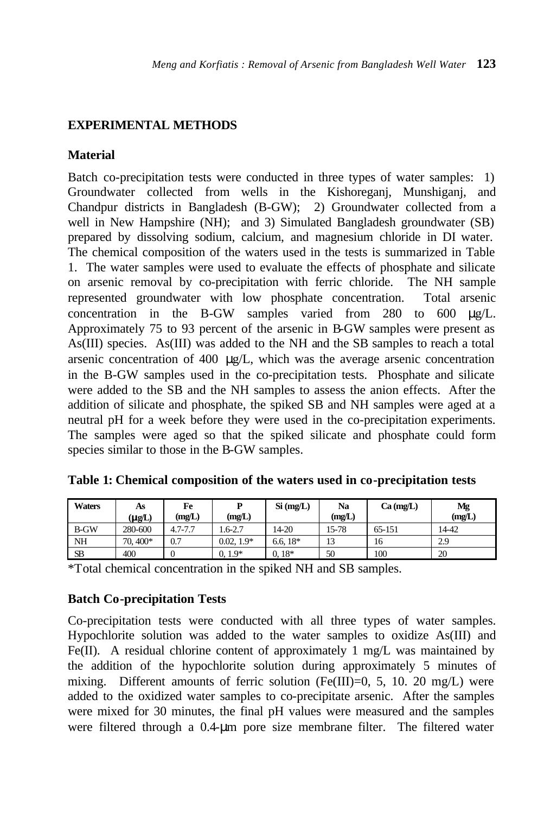# **EXPERIMENTAL METHODS**

# **Material**

Batch co-precipitation tests were conducted in three types of water samples: 1) Groundwater collected from wells in the Kishoreganj, Munshiganj, and Chandpur districts in Bangladesh (B-GW); 2) Groundwater collected from a well in New Hampshire (NH); and 3) Simulated Bangladesh groundwater (SB) prepared by dissolving sodium, calcium, and magnesium chloride in DI water. The chemical composition of the waters used in the tests is summarized in Table 1. The water samples were used to evaluate the effects of phosphate and silicate on arsenic removal by co-precipitation with ferric chloride. The NH sample represented groundwater with low phosphate concentration. Total arsenic concentration in the B-GW samples varied from 280 to 600 μg/L. Approximately 75 to 93 percent of the arsenic in B-GW samples were present as As(III) species. As(III) was added to the NH and the SB samples to reach a total arsenic concentration of 400 μg/L, which was the average arsenic concentration in the B-GW samples used in the co-precipitation tests. Phosphate and silicate were added to the SB and the NH samples to assess the anion effects. After the addition of silicate and phosphate, the spiked SB and NH samples were aged at a neutral pH for a week before they were used in the co-precipitation experiments. The samples were aged so that the spiked silicate and phosphate could form species similar to those in the B-GW samples.

| <b>Waters</b> | As                        | Fe          | D            | $Si$ (mg/L) | Na     | $Ca$ (mg/L) | Mg     |
|---------------|---------------------------|-------------|--------------|-------------|--------|-------------|--------|
|               | $\mathbf{m}$ $\mathbf{L}$ | (mg/L)      | (mg/L)       |             | (mg/L) |             | (mg/L) |
| <b>B-GW</b>   | 280-600                   | $4.7 - 7.7$ | $.6 - 2.7$   | 14-20       | 15-78  | 65-151      | 14-42  |
| <b>NH</b>     | 70, 400*                  | 0.7         | $0.02, 1.9*$ | 6.6, $18*$  | 13     | 16          | 2.9    |
| <b>SB</b>     | 400                       |             | $1.9*$       | $18*$<br>0. | 50     | 100         | 20     |

| Table 1: Chemical composition of the waters used in co-precipitation tests |  |  |  |  |  |  |
|----------------------------------------------------------------------------|--|--|--|--|--|--|
|----------------------------------------------------------------------------|--|--|--|--|--|--|

\*Total chemical concentration in the spiked NH and SB samples.

# **Batch Co-precipitation Tests**

Co-precipitation tests were conducted with all three types of water samples. Hypochlorite solution was added to the water samples to oxidize As(III) and Fe(II). A residual chlorine content of approximately 1 mg/L was maintained by the addition of the hypochlorite solution during approximately 5 minutes of mixing. Different amounts of ferric solution (Fe(III)=0, 5, 10. 20 mg/L) were added to the oxidized water samples to co-precipitate arsenic. After the samples were mixed for 30 minutes, the final pH values were measured and the samples were filtered through a 0.4-μm pore size membrane filter. The filtered water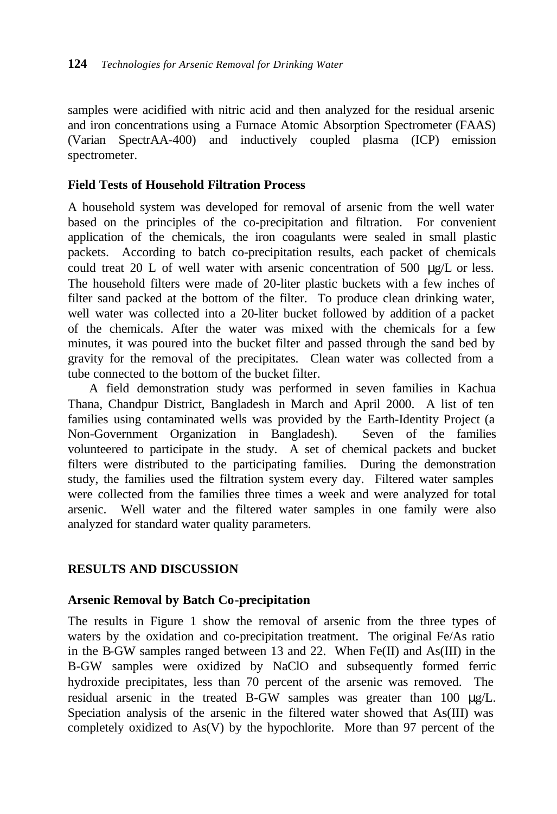samples were acidified with nitric acid and then analyzed for the residual arsenic and iron concentrations using a Furnace Atomic Absorption Spectrometer (FAAS) (Varian SpectrAA-400) and inductively coupled plasma (ICP) emission spectrometer.

# **Field Tests of Household Filtration Process**

A household system was developed for removal of arsenic from the well water based on the principles of the co-precipitation and filtration. For convenient application of the chemicals, the iron coagulants were sealed in small plastic packets. According to batch co-precipitation results, each packet of chemicals could treat 20 L of well water with arsenic concentration of 500  $\mu$ g/L or less. The household filters were made of 20-liter plastic buckets with a few inches of filter sand packed at the bottom of the filter. To produce clean drinking water, well water was collected into a 20-liter bucket followed by addition of a packet of the chemicals. After the water was mixed with the chemicals for a few minutes, it was poured into the bucket filter and passed through the sand bed by gravity for the removal of the precipitates. Clean water was collected from a tube connected to the bottom of the bucket filter.

A field demonstration study was performed in seven families in Kachua Thana, Chandpur District, Bangladesh in March and April 2000. A list of ten families using contaminated wells was provided by the Earth-Identity Project (a Non-Government Organization in Bangladesh). Seven of the families volunteered to participate in the study. A set of chemical packets and bucket filters were distributed to the participating families. During the demonstration study, the families used the filtration system every day. Filtered water samples were collected from the families three times a week and were analyzed for total arsenic. Well water and the filtered water samples in one family were also analyzed for standard water quality parameters.

# **RESULTS AND DISCUSSION**

# **Arsenic Removal by Batch Co-precipitation**

The results in Figure 1 show the removal of arsenic from the three types of waters by the oxidation and co-precipitation treatment. The original Fe/As ratio in the B-GW samples ranged between 13 and 22. When Fe(II) and As(III) in the B-GW samples were oxidized by NaClO and subsequently formed ferric hydroxide precipitates, less than 70 percent of the arsenic was removed. The residual arsenic in the treated B-GW samples was greater than 100 μg/L. Speciation analysis of the arsenic in the filtered water showed that As(III) was completely oxidized to As(V) by the hypochlorite. More than 97 percent of the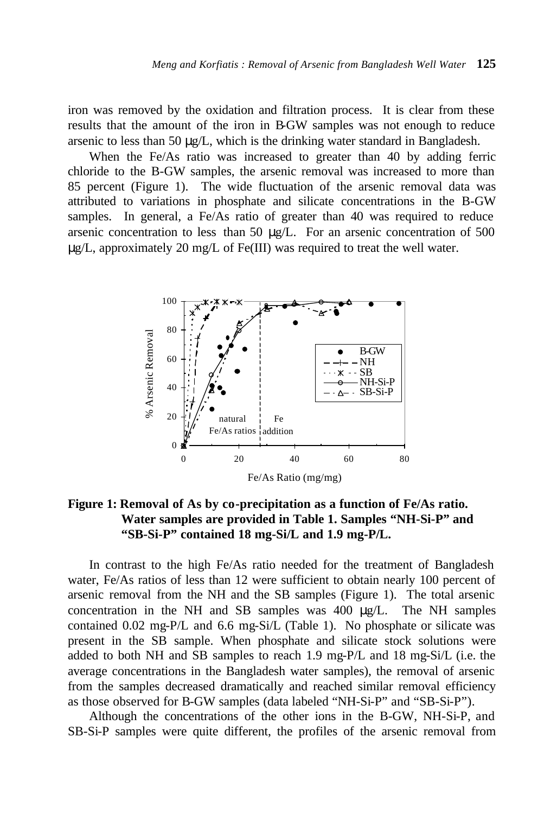iron was removed by the oxidation and filtration process. It is clear from these results that the amount of the iron in B-GW samples was not enough to reduce arsenic to less than 50 μg/L, which is the drinking water standard in Bangladesh.

When the Fe/As ratio was increased to greater than 40 by adding ferric chloride to the B-GW samples, the arsenic removal was increased to more than 85 percent (Figure 1). The wide fluctuation of the arsenic removal data was attributed to variations in phosphate and silicate concentrations in the B-GW samples. In general, a Fe/As ratio of greater than 40 was required to reduce arsenic concentration to less than 50 μg/L. For an arsenic concentration of 500 μg/L, approximately 20 mg/L of Fe(III) was required to treat the well water.



**Figure 1: Removal of As by co-precipitation as a function of Fe/As ratio. Water samples are provided in Table 1. Samples "NH-Si-P" and "SB-Si-P" contained 18 mg-Si/L and 1.9 mg-P/L.**

In contrast to the high Fe/As ratio needed for the treatment of Bangladesh water, Fe/As ratios of less than 12 were sufficient to obtain nearly 100 percent of arsenic removal from the NH and the SB samples (Figure 1). The total arsenic concentration in the NH and SB samples was 400 μg/L. The NH samples contained 0.02 mg-P/L and 6.6 mg-Si/L (Table 1). No phosphate or silicate was present in the SB sample. When phosphate and silicate stock solutions were added to both NH and SB samples to reach 1.9 mg-P/L and 18 mg-Si/L (i.e. the average concentrations in the Bangladesh water samples), the removal of arsenic from the samples decreased dramatically and reached similar removal efficiency as those observed for B-GW samples (data labeled "NH-Si-P" and "SB-Si-P").

Although the concentrations of the other ions in the B-GW, NH-Si-P, and SB-Si-P samples were quite different, the profiles of the arsenic removal from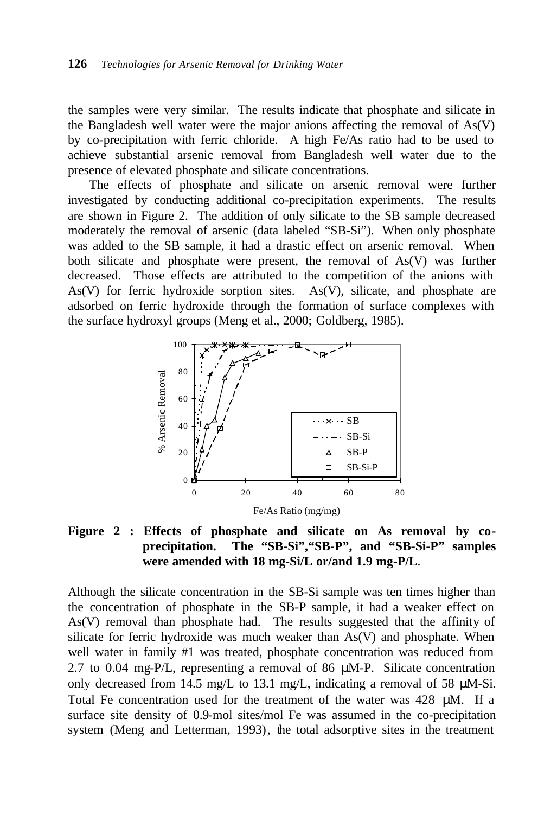the samples were very similar. The results indicate that phosphate and silicate in the Bangladesh well water were the major anions affecting the removal of As(V) by co-precipitation with ferric chloride. A high Fe/As ratio had to be used to achieve substantial arsenic removal from Bangladesh well water due to the presence of elevated phosphate and silicate concentrations.

The effects of phosphate and silicate on arsenic removal were further investigated by conducting additional co-precipitation experiments. The results are shown in Figure 2. The addition of only silicate to the SB sample decreased moderately the removal of arsenic (data labeled "SB-Si"). When only phosphate was added to the SB sample, it had a drastic effect on arsenic removal. When both silicate and phosphate were present, the removal of As(V) was further decreased. Those effects are attributed to the competition of the anions with As(V) for ferric hydroxide sorption sites. As(V), silicate, and phosphate are adsorbed on ferric hydroxide through the formation of surface complexes with the surface hydroxyl groups (Meng et al., 2000; Goldberg, 1985).



# **Figure 2 : Effects of phosphate and silicate on As removal by coprecipitation. The "SB-Si","SB-P", and "SB-Si-P" samples were amended with 18 mg-Si/L or/and 1.9 mg-P/L**.

Although the silicate concentration in the SB-Si sample was ten times higher than the concentration of phosphate in the SB-P sample, it had a weaker effect on As(V) removal than phosphate had. The results suggested that the affinity of silicate for ferric hydroxide was much weaker than As(V) and phosphate. When well water in family #1 was treated, phosphate concentration was reduced from 2.7 to 0.04 mg-P/L, representing a removal of 86 μM-P. Silicate concentration only decreased from 14.5 mg/L to 13.1 mg/L, indicating a removal of 58 μM-Si. Total Fe concentration used for the treatment of the water was 428 μM. If a surface site density of 0.9-mol sites/mol Fe was assumed in the co-precipitation system (Meng and Letterman, 1993), the total adsorptive sites in the treatment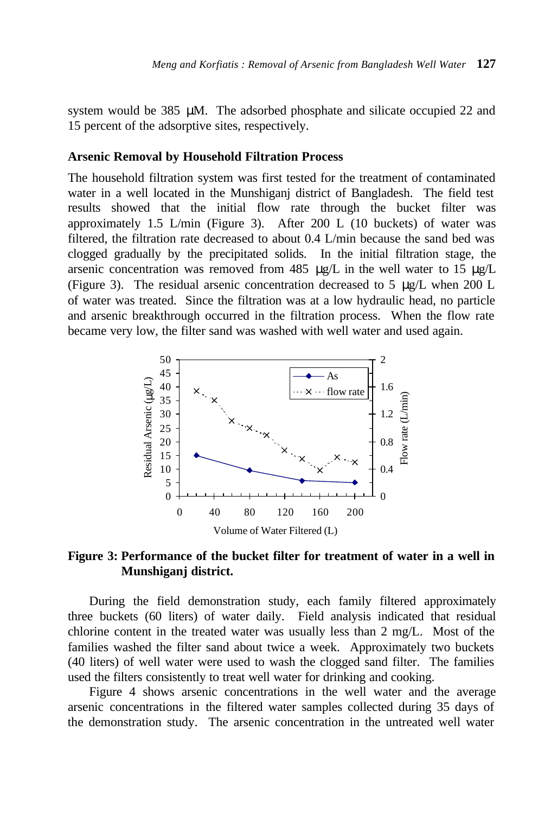system would be  $385 \mu M$ . The adsorbed phosphate and silicate occupied 22 and 15 percent of the adsorptive sites, respectively.

#### **Arsenic Removal by Household Filtration Process**

The household filtration system was first tested for the treatment of contaminated water in a well located in the Munshiganj district of Bangladesh. The field test results showed that the initial flow rate through the bucket filter was approximately 1.5 L/min (Figure 3). After 200 L (10 buckets) of water was filtered, the filtration rate decreased to about 0.4 L/min because the sand bed was clogged gradually by the precipitated solids. In the initial filtration stage, the arsenic concentration was removed from 485 μg/L in the well water to 15 μg/L (Figure 3). The residual arsenic concentration decreased to 5  $\mu$ g/L when 200 L of water was treated. Since the filtration was at a low hydraulic head, no particle and arsenic breakthrough occurred in the filtration process. When the flow rate became very low, the filter sand was washed with well water and used again.



### **Figure 3: Performance of the bucket filter for treatment of water in a well in Munshiganj district.**

During the field demonstration study, each family filtered approximately three buckets (60 liters) of water daily. Field analysis indicated that residual chlorine content in the treated water was usually less than 2 mg/L. Most of the families washed the filter sand about twice a week. Approximately two buckets (40 liters) of well water were used to wash the clogged sand filter. The families used the filters consistently to treat well water for drinking and cooking.

Figure 4 shows arsenic concentrations in the well water and the average arsenic concentrations in the filtered water samples collected during 35 days of the demonstration study. The arsenic concentration in the untreated well water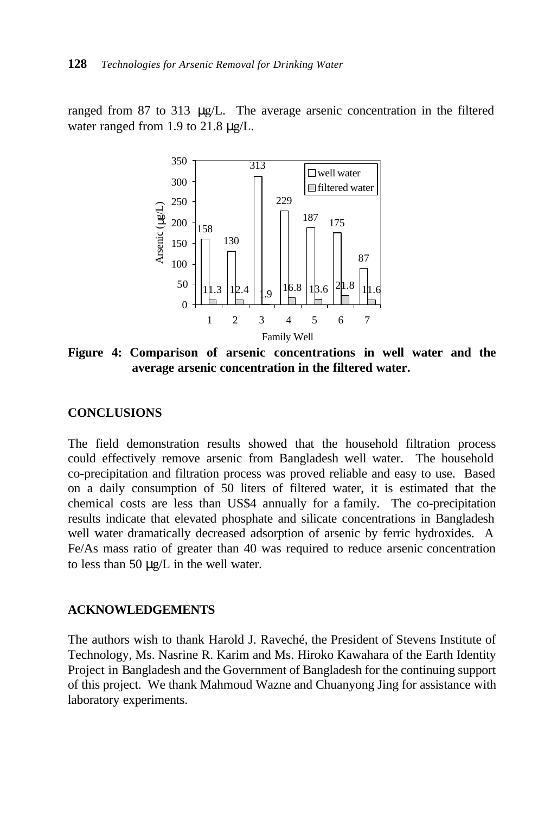ranged from 87 to 313 μg/L. The average arsenic concentration in the filtered water ranged from 1.9 to 21.8 μg/L.



**Figure 4: Comparison of arsenic concentrations in well water and the average arsenic concentration in the filtered water.**

#### **CONCLUSIONS**

The field demonstration results showed that the household filtration process could effectively remove arsenic from Bangladesh well water. The household co-precipitation and filtration process was proved reliable and easy to use. Based on a daily consumption of 50 liters of filtered water, it is estimated that the chemical costs are less than US\$4 annually for a family. The co-precipitation results indicate that elevated phosphate and silicate concentrations in Bangladesh well water dramatically decreased adsorption of arsenic by ferric hydroxides. A Fe/As mass ratio of greater than 40 was required to reduce arsenic concentration to less than 50 μg/L in the well water.

#### **ACKNOWLEDGEMENTS**

The authors wish to thank Harold J. Raveché, the President of Stevens Institute of Technology, Ms. Nasrine R. Karim and Ms. Hiroko Kawahara of the Earth Identity Project in Bangladesh and the Government of Bangladesh for the continuing support of this project. We thank Mahmoud Wazne and Chuanyong Jing for assistance with laboratory experiments.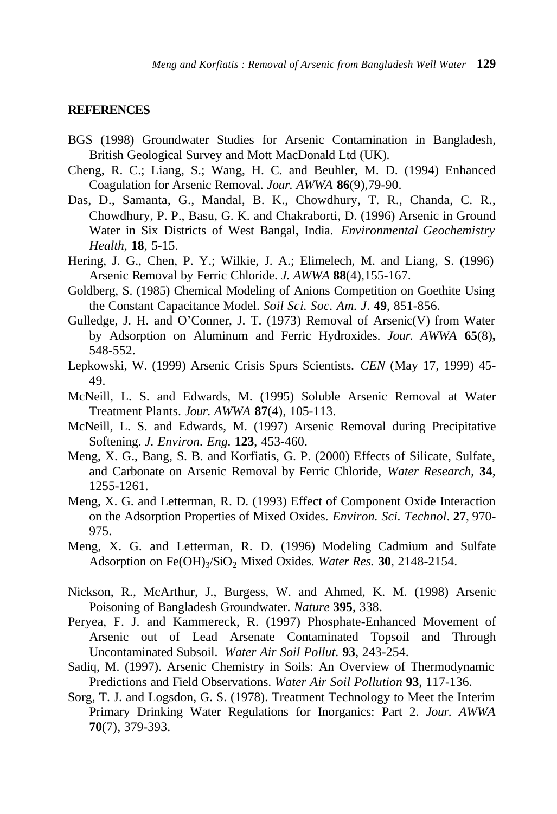#### **REFERENCES**

- BGS (1998) Groundwater Studies for Arsenic Contamination in Bangladesh, British Geological Survey and Mott MacDonald Ltd (UK).
- Cheng, R. C.; Liang, S.; Wang, H. C. and Beuhler, M. D. (1994) Enhanced Coagulation for Arsenic Removal. *Jour. AWWA* **86**(9),79-90.
- Das, D., Samanta, G., Mandal, B. K., Chowdhury, T. R., Chanda, C. R., Chowdhury, P. P., Basu, G. K. and Chakraborti, D. (1996) Arsenic in Ground Water in Six Districts of West Bangal, India. *Environmental Geochemistry Health*, **18**, 5-15.
- Hering, J. G., Chen, P. Y.; Wilkie, J. A.; Elimelech, M. and Liang, S. (1996) Arsenic Removal by Ferric Chloride. *J. AWWA* **88**(4),155-167.
- Goldberg, S. (1985) Chemical Modeling of Anions Competition on Goethite Using the Constant Capacitance Model. *Soil Sci. Soc. Am. J*. **49**, 851-856.
- Gulledge, J. H. and O'Conner, J. T. (1973) Removal of Arsenic(V) from Water by Adsorption on Aluminum and Ferric Hydroxides. *Jour. AWWA* **65**(8)**,**  548-552.
- Lepkowski, W. (1999) Arsenic Crisis Spurs Scientists. *CEN* (May 17, 1999) 45- 49.
- McNeill, L. S. and Edwards, M. (1995) Soluble Arsenic Removal at Water Treatment Plants. *Jour. AWWA* **87**(4), 105-113.
- McNeill, L. S. and Edwards, M. (1997) Arsenic Removal during Precipitative Softening. *J. Environ. Eng.* **123**, 453-460.
- Meng, X. G., Bang, S. B. and Korfiatis, G. P. (2000) Effects of Silicate, Sulfate, and Carbonate on Arsenic Removal by Ferric Chloride, *Water Research*, **34**, 1255-1261.
- Meng, X. G. and Letterman, R. D. (1993) Effect of Component Oxide Interaction on the Adsorption Properties of Mixed Oxides. *Environ. Sci. Technol*. **27**, 970- 975.
- Meng, X. G. and Letterman, R. D. (1996) Modeling Cadmium and Sulfate Adsorption on Fe(OH)<sub>3</sub>/SiO<sub>2</sub> Mixed Oxides. Water Res. 30, 2148-2154.
- Nickson, R., McArthur, J., Burgess, W. and Ahmed, K. M. (1998) Arsenic Poisoning of Bangladesh Groundwater. *Nature* **395**, 338.
- Peryea, F. J. and Kammereck, R. (1997) Phosphate-Enhanced Movement of Arsenic out of Lead Arsenate Contaminated Topsoil and Through Uncontaminated Subsoil. *Water Air Soil Pollut*. **93**, 243-254.
- Sadiq, M. (1997). Arsenic Chemistry in Soils: An Overview of Thermodynamic Predictions and Field Observations. *Water Air Soil Pollution* **93**, 117-136.
- Sorg, T. J. and Logsdon, G. S. (1978). Treatment Technology to Meet the Interim Primary Drinking Water Regulations for Inorganics: Part 2. *Jour. AWWA* **70**(7), 379-393.